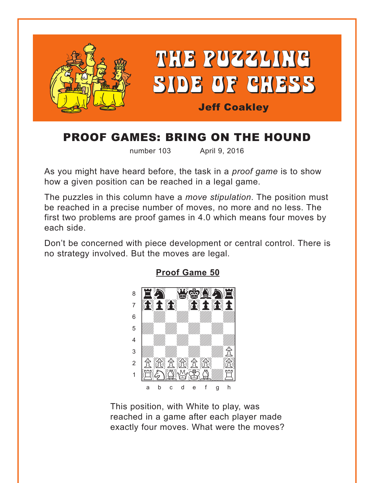<span id="page-0-0"></span>

# PROOF GAMES: BRING ON THE HOUND

number 103 April 9, 2016

As you might have heard before, the task in a *proof game* is to show how a given position can be reached in a legal game.

The puzzles in this column have a *move stipulation*. The position must be reached in a precise number of moves, no more and no less. The first two problems are proof games in 4.0 which means four moves by each side.

Don't be concerned with piece development or central control. There is no strategy involved. But the moves are legal.



**[Proof Game 50](#page-5-0)**

This position, with White to play, was reached in a game after each player made exactly four moves. What were the moves?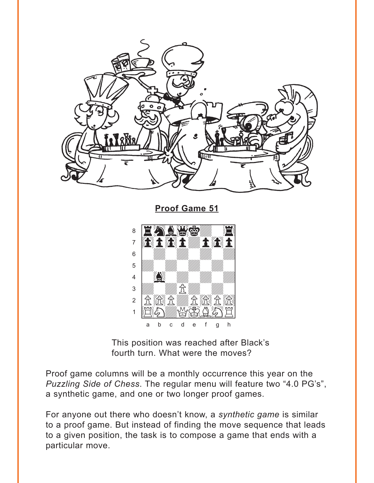<span id="page-1-0"></span>

**Proof Game 51** 



This position was reached after Black's fourth turn. What were the moves?

Proof game columns will be a monthly occurrence this year on the Puzzling Side of Chess. The regular menu will feature two "4.0 PG's", a synthetic game, and one or two longer proof games.

For anyone out there who doesn't know, a synthetic game is similar to a proof game. But instead of finding the move sequence that leads to a given position, the task is to compose a game that ends with a particular move.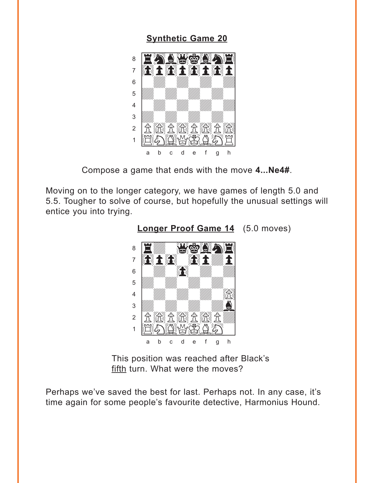### **[Synthetic Game 20](#page-6-0)**

<span id="page-2-0"></span>

Compose a game that ends with the move **4...Ne4#**.

Moving on to the longer category, we have games of length 5.0 and 5.5. Tougher to solve of course, but hopefully the unusual settings will entice you into trying.



**[Longer Proof Game 14](#page-6-0)** (5.0 moves)

This position was reached after Black's fifth turn. What were the moves?

Perhaps we've saved the best for last. Perhaps not. In any case, it's time again for some people's favourite detective, Harmonius Hound.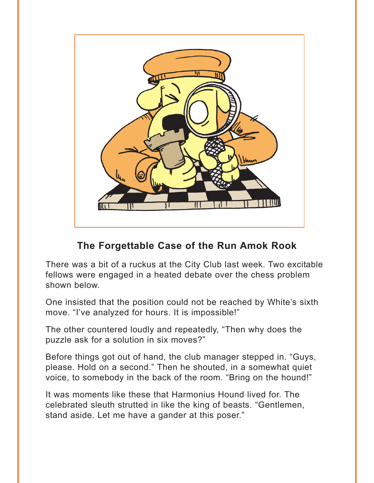

## **The Forgettable Case of the Run Amok Rook**

There was a bit of a ruckus at the City Club last week. Two excitable fellows were engaged in a heated debate over the chess problem shown below.

One insisted that the position could not be reached by White's sixth move. "I've analyzed for hours. It is impossible!"

The other countered loudly and repeatedly, "Then why does the puzzle ask for a solution in six moves?"

Before things got out of hand, the club manager stepped in. "Guys, please. Hold on a second." Then he shouted, in a somewhat quiet voice, to somebody in the back of the room. "Bring on the hound!"

It was moments like these that Harmonius Hound lived for. The celebrated sleuth strutted in like the king of beasts. "Gentlemen, stand aside. Let me have a gander at this poser."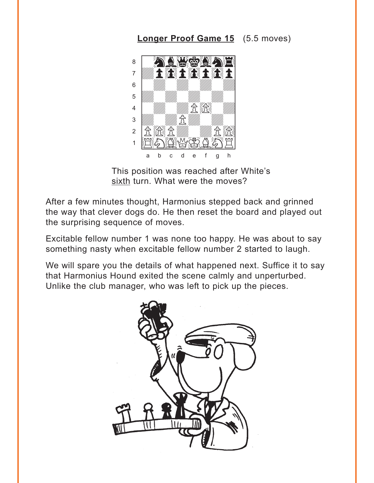### **Longer Proof Game 15** (5.5 moves)

<span id="page-4-0"></span>

This position was reached after White's sixth turn. What were the moves?

After a few minutes thought, Harmonius stepped back and grinned the way that clever dogs do. He then reset the board and played out the surprising sequence of moves.

Excitable fellow number 1 was none too happy. He was about to say something nasty when excitable fellow number 2 started to laugh.

We will spare you the details of what happened next. Suffice it to say that Harmonius Hound exited the scene calmly and unperturbed. Unlike the club manager, who was left to pick up the pieces.

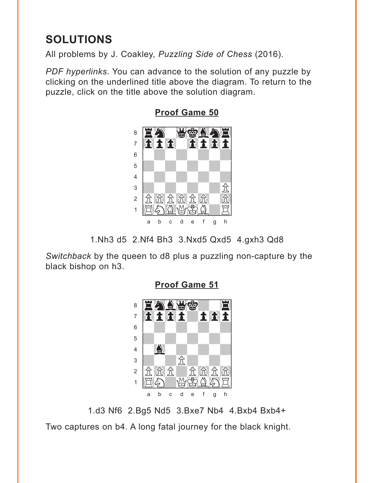# <span id="page-5-0"></span>**SOLUTIONS**

All problems by J. Coakley, *Puzzling Side of Chess* (2016).

*PDF hyperlinks*. You can advance to the solution of any puzzle by clicking on the underlined title above the diagram. To return to the puzzle, click on the title above the solution diagram.



**[Proof Game 50](#page-0-0)**

1.Nh3 d5 2.Nf4 Bh3 3.Nxd5 Qxd5 4.gxh3 Qd8

*Switchback* by the queen to d8 plus a puzzling non-capture by the black bishop on h3.



**[Proof Game 51](#page-1-0)**

1.d3 Nf6 2.Bg5 Nd5 3.Bxe7 Nb4 4.Bxb4 Bxb4+ Two captures on b4. A long fatal journey for the black knight.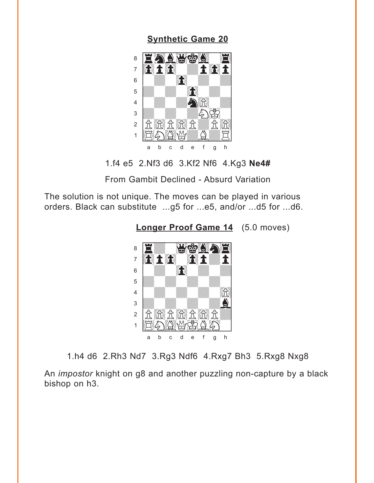### **[Synthetic Game 20](#page-2-0)**

<span id="page-6-0"></span>

1.f4 e5 2.Nf3 d6 3.Kf2 Nf6 4.Kg3 **Ne4#**

From Gambit Declined - Absurd Variation

The solution is not unique. The moves can be played in various orders. Black can substitute ...g5 for ...e5, and/or ...d5 for ...d6.





1.h4 d6 2.Rh3 Nd7 3.Rg3 Ndf6 4.Rxg7 Bh3 5.Rxg8 Nxg8

An *impostor* knight on g8 and another puzzling non-capture by a black bishop on h3.